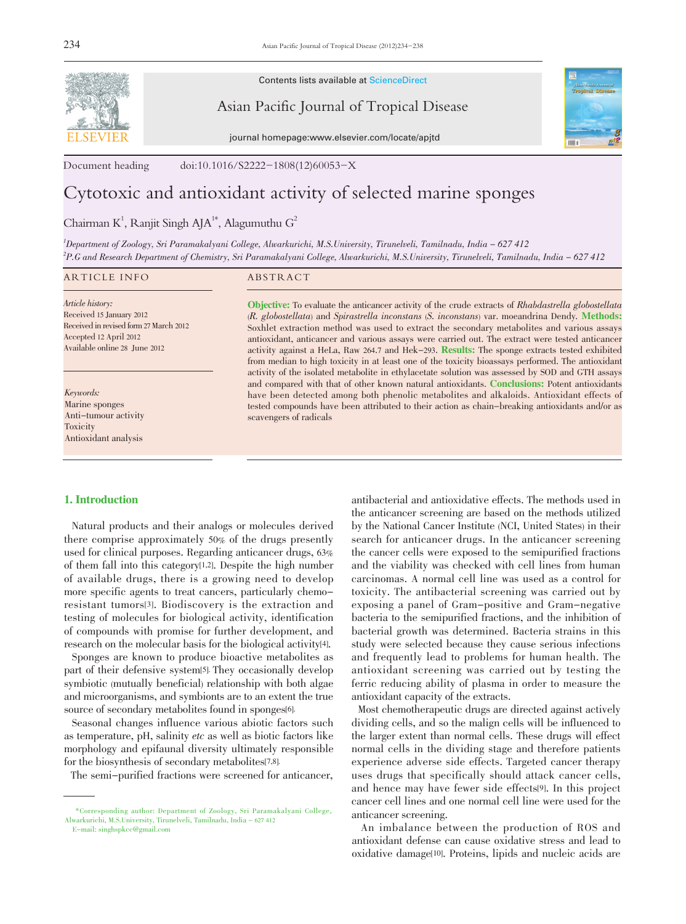

Contents lists available at ScienceDirect

Asian Pacific Journal of Tropical Disease



journal homepage:www.elsevier.com/locate/apjtd

Document heading doi:10.1016/S2222-1808(12)60053-X

# Cytotoxic and antioxidant activity of selected marine sponges

Chairman K<sup>1</sup>, Ranjit Singh AJA<sup>1\*</sup>, Alagumuthu G<sup>2</sup>

1 Department of Zoology, Sri Paramakalyani College, Alwarkurichi, M.S.University, Tirunelveli, Tamilnadu, India - 627 412 2 P.G and Research Department of Chemistry, Sri Paramakalyani College, Alwarkurichi, M.S.University, Tirunelveli, Tamilnadu, India - 627 412

#### ARTICLE INFO ABSTRACT

Article history: Received 15 January 2012 Received in revised form 27 March 2012 Accepted 12 April 2012 Available online 28 June 2012

Keywords: Marine sponges Anti-tumour activity Toxicity Antioxidant analysis

Objective: To evaluate the anticancer activity of the crude extracts of Rhabdastrella globostellata (R. globostellata) and Spirastrella inconstans (S. inconstans) var. moeandrina Dendy. Methods: Soxhlet extraction method was used to extract the secondary metabolites and various assays antioxidant, anticancer and various assays were carried out. The extract were tested anticancer activity against a HeLa, Raw 264.7 and Hek-293. Results: The sponge extracts tested exhibited from median to high toxicity in at least one of the toxicity bioassays performed. The antioxidant activity of the isolated metabolite in ethylacetate solution was assessed by SOD and GTH assays and compared with that of other known natural antioxidants. Conclusions: Potent antioxidants have been detected among both phenolic metabolites and alkaloids. Antioxidant effects of tested compounds have been attributed to their action as chain-breaking antioxidants and/or as scavengers of radicals

# 1. Introduction

 Natural products and their analogs or molecules derived there comprise approximately 50% of the drugs presently used for clinical purposes. Regarding anticancer drugs, 63% of them fall into this category[1,2]. Despite the high number of available drugs, there is a growing need to develop more specific agents to treat cancers, particularly chemoresistant tumors[3]. Biodiscovery is the extraction and testing of molecules for biological activity, identification of compounds with promise for further development, and research on the molecular basis for the biological activity[4].

 Sponges are known to produce bioactive metabolites as part of their defensive system[5]. They occasionally develop symbiotic (mutually beneficial) relationship with both algae and microorganisms, and symbionts are to an extent the true source of secondary metabolites found in sponges[6].

 Seasonal changes influence various abiotic factors such as temperature, pH, salinity etc as well as biotic factors like morphology and epifaunal diversity ultimately responsible for the biosynthesis of secondary metabolites[7,8].

The semi-purified fractions were screened for anticancer,

E-mail: singhspkcc@gmail.com

antibacterial and antioxidative effects. The methods used in the anticancer screening are based on the methods utilized by the National Cancer Institute (NCI, United States) in their search for anticancer drugs. In the anticancer screening the cancer cells were exposed to the semipurified fractions and the viability was checked with cell lines from human carcinomas. A normal cell line was used as a control for toxicity. The antibacterial screening was carried out by exposing a panel of Gram-positive and Gram-negative bacteria to the semipurified fractions, and the inhibition of bacterial growth was determined. Bacteria strains in this study were selected because they cause serious infections and frequently lead to problems for human health. The antioxidant screening was carried out by testing the ferric reducing ability of plasma in order to measure the antioxidant capacity of the extracts.

 Most chemotherapeutic drugs are directed against actively dividing cells, and so the malign cells will be influenced to the larger extent than normal cells. These drugs will effect normal cells in the dividing stage and therefore patients experience adverse side effects. Targeted cancer therapy uses drugs that specifically should attack cancer cells, and hence may have fewer side effects[9]. In this project cancer cell lines and one normal cell line were used for the anticancer screening.

 An imbalance between the production of ROS and antioxidant defense can cause oxidative stress and lead to oxidative damage[10]. Proteins, lipids and nucleic acids are

 <sup>\*</sup>Corresponding author: Department of Zoology, Sri Paramakalyani College, Alwarkurichi, M.S.University, Tirunelveli, Tamilnadu, India - 627 412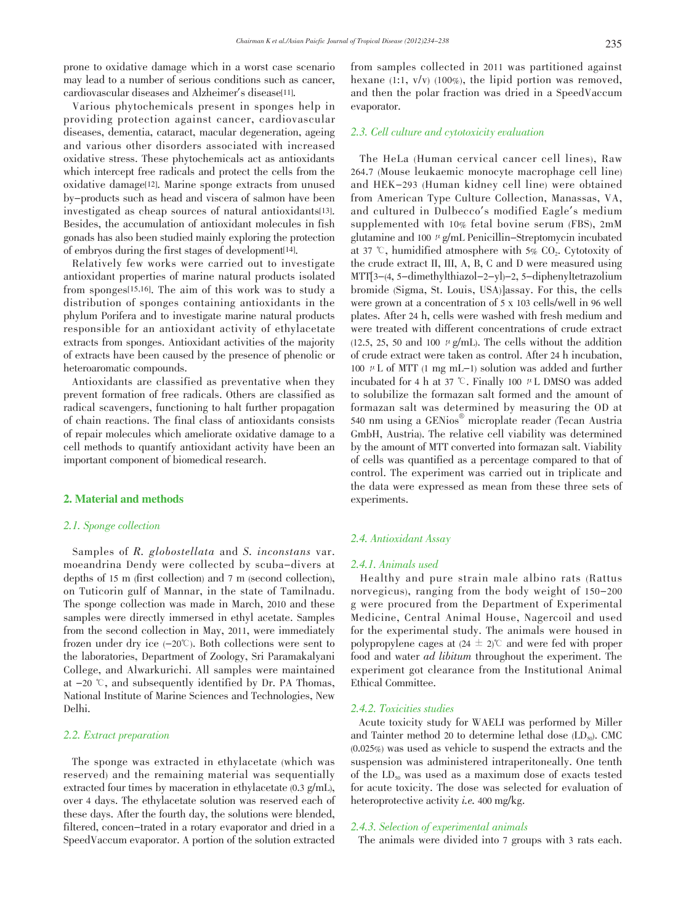prone to oxidative damage which in a worst case scenario may lead to a number of serious conditions such as cancer, cardiovascular diseases and Alzheimer's disease[11].

 Various phytochemicals present in sponges help in providing protection against cancer, cardiovascular diseases, dementia, cataract, macular degeneration, ageing and various other disorders associated with increased oxidative stress. These phytochemicals act as antioxidants which intercept free radicals and protect the cells from the oxidative damage[12]. Marine sponge extracts from unused by-products such as head and viscera of salmon have been investigated as cheap sources of natural antioxidants[13]. Besides, the accumulation of antioxidant molecules in fish gonads has also been studied mainly exploring the protection of embryos during the first stages of development[14].

 Relatively few works were carried out to investigate antioxidant properties of marine natural products isolated from sponges[15,16]. The aim of this work was to study a distribution of sponges containing antioxidants in the phylum Porifera and to investigate marine natural products responsible for an antioxidant activity of ethylacetate extracts from sponges. Antioxidant activities of the majority of extracts have been caused by the presence of phenolic or heteroaromatic compounds.

 Antioxidants are classified as preventative when they prevent formation of free radicals. Others are classified as radical scavengers, functioning to halt further propagation of chain reactions. The final class of antioxidants consists of repair molecules which ameliorate oxidative damage to a cell methods to quantify antioxidant activity have been an important component of biomedical research.

# 2. Material and methods

#### 2.1. Sponge collection

Samples of R. globostellata and S. inconstans var. moeandrina Dendy were collected by scuba-divers at depths of 15 m (first collection) and 7 m (second collection), on Tuticorin gulf of Mannar, in the state of Tamilnadu. The sponge collection was made in March, 2010 and these samples were directly immersed in ethyl acetate. Samples from the second collection in May, 2011, were immediately frozen under dry ice  $(-20^{\circ}\text{C})$ . Both collections were sent to the laboratories, Department of Zoology, Sri Paramakalyani College, and Alwarkurichi. All samples were maintained at  $-20$   $\degree$ , and subsequently identified by Dr. PA Thomas, National Institute of Marine Sciences and Technologies, New Delhi.

### 2.2. Extract preparation

 The sponge was extracted in ethylacetate (which was reserved) and the remaining material was sequentially extracted four times by maceration in ethylacetate (0.3 g/mL), over 4 days. The ethylacetate solution was reserved each of these days. After the fourth day, the solutions were blended, filtered, concen-trated in a rotary evaporator and dried in a SpeedVaccum evaporator. A portion of the solution extracted from samples collected in 2011 was partitioned against hexane (1:1, v/v) (100%), the lipid portion was removed, and then the polar fraction was dried in a SpeedVaccum evaporator.

# 2.3. Cell culture and cytotoxicity evaluation

 The HeLa (Human cervical cancer cell lines), Raw 264.7 (Mouse leukaemic monocyte macrophage cell line) and HEK-293 (Human kidney cell line) were obtained from American Type Culture Collection, Manassas, VA, and cultured in Dulbecco's modified Eagle's medium supplemented with 10% fetal bovine serum (FBS), 2mM glutamine and 100  $\mu$  g/mL Penicillin–Streptomycin incubated at 37  $\degree$ , humidified atmosphere with 5% CO<sub>2</sub>. Cytotoxity of the crude extract II, III, A, B, C and D were measured using MTT[3-(4, 5-dimethylthiazol-2-yl)-2, 5-diphenyltetrazolium bromide (Sigma, St. Louis, USA)]assay. For this, the cells were grown at a concentration of 5 x 103 cells/well in 96 well plates. After 24 h, cells were washed with fresh medium and were treated with different concentrations of crude extract  $(12.5, 25, 50 \text{ and } 100 \mu \text{ g/mL})$ . The cells without the addition of crude extract were taken as control. After 24 h incubation, 100  $\mu$  L of MTT (1 mg mL-1) solution was added and further incubated for 4 h at 37  $\degree$ . Finally 100  $\mu$  L DMSO was added to solubilize the formazan salt formed and the amount of formazan salt was determined by measuring the OD at 540 nm using a GENios® microplate reader (Tecan Austria GmbH, Austria). The relative cell viability was determined by the amount of MTT converted into formazan salt. Viability of cells was quantified as a percentage compared to that of control. The experiment was carried out in triplicate and the data were expressed as mean from these three sets of experiments.

# 2.4. Antioxidant Assay

#### 2.4.1. Animals used

 Healthy and pure strain male albino rats (Rattus norvegicus), ranging from the body weight of 150-200 g were procured from the Department of Experimental Medicine, Central Animal House, Nagercoil and used for the experimental study. The animals were housed in polypropylene cages at  $(24 \pm 2)$ °C and were fed with proper food and water ad libitum throughout the experiment. The experiment got clearance from the Institutional Animal Ethical Committee.

# 2.4.2. Toxicities studies

 Acute toxicity study for WAELI was performed by Miller and Tainter method 20 to determine lethal dose  $(LD_{50})$ . CMC (0.025%) was used as vehicle to suspend the extracts and the suspension was administered intraperitoneally. One tenth of the  $LD_{50}$  was used as a maximum dose of exacts tested for acute toxicity. The dose was selected for evaluation of heteroprotective activity *i.e.* 400 mg/kg.

#### 2.4.3. Selection of experimental animals

The animals were divided into 7 groups with 3 rats each.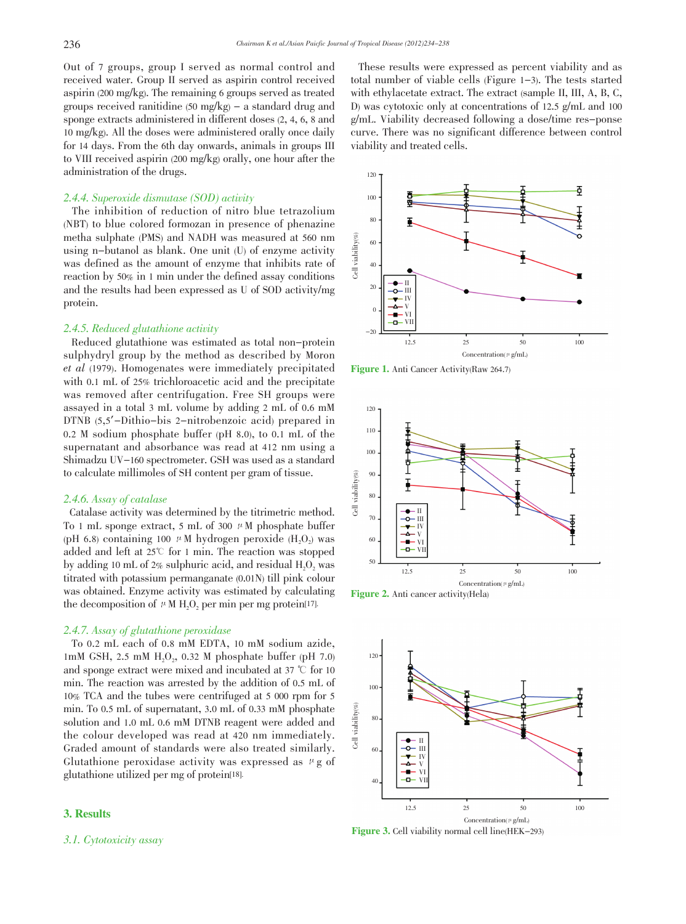Out of 7 groups, group I served as normal control and received water. Group II served as aspirin control received aspirin (200 mg/kg). The remaining 6 groups served as treated groups received ranitidine  $(50 \text{ mg/kg})$  – a standard drug and sponge extracts administered in different doses (2, 4, 6, 8 and 10 mg/kg). All the doses were administered orally once daily for 14 days. From the 6th day onwards, animals in groups III to VIII received aspirin (200 mg/kg) orally, one hour after the administration of the drugs.

### 2.4.4. Superoxide dismutase (SOD) activity

 The inhibition of reduction of nitro blue tetrazolium (NBT) to blue colored formozan in presence of phenazine metha sulphate (PMS) and NADH was measured at 560 nm using n-butanol as blank. One unit (U) of enzyme activity was defined as the amount of enzyme that inhibits rate of reaction by 50% in 1 min under the defined assay conditions and the results had been expressed as U of SOD activity/mg protein.

# 2.4.5. Reduced glutathione activity

 Reduced glutathione was estimated as total non-protein sulphydryl group by the method as described by Moron et al (1979). Homogenates were immediately precipitated with 0.1 mL of 25% trichloroacetic acid and the precipitate was removed after centrifugation. Free SH groups were assayed in a total 3 mL volume by adding 2 mL of 0.6 mM DTNB (5,5'-Dithio-bis 2-nitrobenzoic acid) prepared in 0.2 M sodium phosphate buffer (pH 8.0), to 0.1 mL of the supernatant and absorbance was read at 412 nm using a Shimadzu UV-160 spectrometer. GSH was used as a standard to calculate millimoles of SH content per gram of tissue.

#### 2.4.6. Assay of catalase

 Catalase activity was determined by the titrimetric method. To 1 mL sponge extract, 5 mL of 300  $\mu$ M phosphate buffer (pH 6.8) containing 100  $\mu$ M hydrogen peroxide (H<sub>2</sub>O<sub>2</sub>) was added and left at  $25^{\circ}$  for 1 min. The reaction was stopped by adding 10 mL of  $2\%$  sulphuric acid, and residual  $H_2O_2$  was titrated with potassium permanganate (0.01N) till pink colour was obtained. Enzyme activity was estimated by calculating the decomposition of  $\mu$  M H<sub>2</sub>O<sub>2</sub> per min per mg protein<sup>[17]</sup>.

#### 2.4.7. Assay of glutathione peroxidase

 To 0.2 mL each of 0.8 mM EDTA, 10 mM sodium azide, 1mM GSH, 2.5 mM  $H_2O_2$ , 0.32 M phosphate buffer (pH 7.0) and sponge extract were mixed and incubated at 37  $\degree$ C for 10 min. The reaction was arrested by the addition of 0.5 mL of 10% TCA and the tubes were centrifuged at 5 000 rpm for 5 min. To 0.5 mL of supernatant, 3.0 mL of 0.33 mM phosphate solution and 1.0 mL 0.6 mM DTNB reagent were added and the colour developed was read at 420 nm immediately. Graded amount of standards were also treated similarly. Glutathione peroxidase activity was expressed as  $\mu$ g of glutathione utilized per mg of protein[18].

# 3. Results

3.1. Cytotoxicity assay

 These results were expressed as percent viability and as total number of viable cells (Figure 1-3). The tests started with ethylacetate extract. The extract (sample II, III, A, B, C, D) was cytotoxic only at concentrations of 12.5 g/mL and 100 g/mL. Viability decreased following a dose/time res-ponse curve. There was no significant difference between control viability and treated cells.



Figure 1. Anti Cancer Activity(Raw 264.7)



Figure 2. Anti cancer activity(Hela)



Figure 3. Cell viability normal cell line(HEK-293)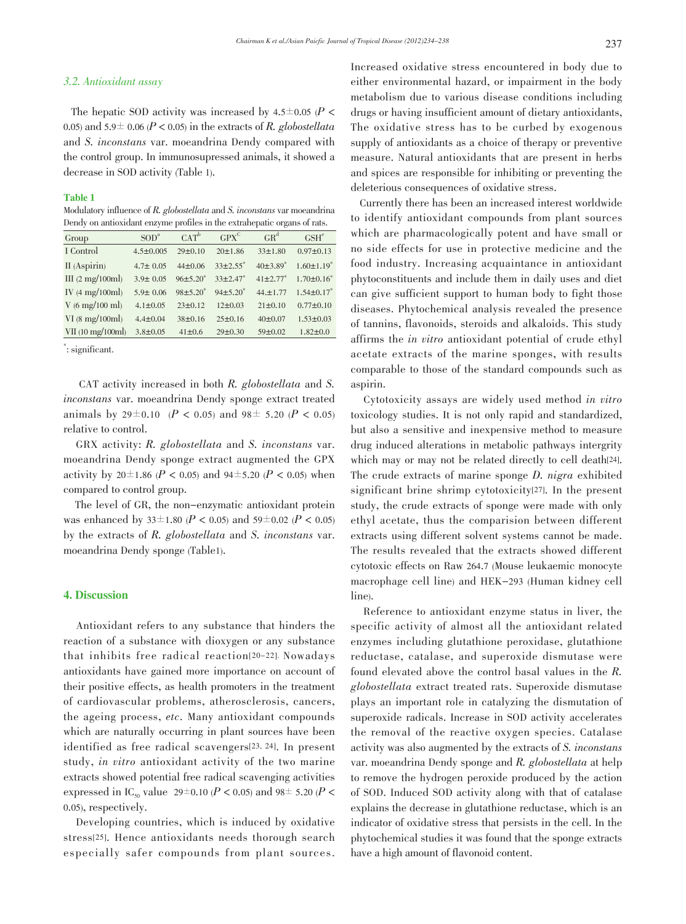# 3.2. Antioxidant assay

The hepatic SOD activity was increased by 4.5 $\pm$ 0.05 (P < 0.05) and 5.9 ± 0.06 ( $P < 0.05$ ) in the extracts of R. globostellata and S. *inconstans* var. moeandrina Dendy compared with the control group. In immunosupressed animals, it showed a decrease in SOD activity (Table 1).

#### **Table 1**

Modulatory influence of  $R$ . globostellata and  $S$ . inconstans var moeandrina Dendy on antioxidant enzyme profiles in the extrahepatic organs of rats.

| Group                              | SOD <sup>a</sup> | $CAT^b$                | $GPX^C$                  | $GR^d$                   | GSH <sup>e</sup>  |
|------------------------------------|------------------|------------------------|--------------------------|--------------------------|-------------------|
| I Control                          | $4.5 \pm 0.005$  | 29±0.10                | 20±1.86                  | $33 \pm 1.80$            | $0.97 \pm 0.13$   |
| II (Aspirin)                       | $4.7 \pm 0.05$   | $44\pm 0.06$           | $33\pm2.55$ <sup>*</sup> | $40\pm3.89$ <sup>*</sup> | $1.60 \pm 1.19$ * |
| III $(2 \text{ mg}/100 \text{ml})$ | $3.9 \pm 0.05$   | $96±5.20$ <sup>*</sup> | $33\pm2.47$ *            | $41\pm2.77$ <sup>*</sup> | $1.70 \pm 0.16^*$ |
| IV $(4 \text{ mg}/100 \text{ml})$  | $5.9 \pm 0.06$   | $98±5.20*$             | $94\pm5.20^*$            | $44. \pm 1.77$           | $1.54 \pm 0.17$ * |
| $V(6 \text{ mg}/100 \text{ ml})$   | $4.1 \pm 0.05$   | $23 \pm 0.12$          | $12\pm0.03$              | $21 \pm 0.10$            | $0.77 \pm 0.10$   |
| $VI$ (8 mg/100ml)                  | $4.4 \pm 0.04$   | 38±0.16                | $25 \pm 0.16$            | $40\pm0.07$              | $1.53 \pm 0.03$   |
| VII (10 mg/100ml)                  | $3.8 \pm 0.05$   | $41 \pm 0.6$           | 29±0.30                  | 59±0.02                  | $1.82 \pm 0.0$    |

: significant.

CAT activity increased in both R. globostellata and S. *inconstans* var. moeandrina Dendy sponge extract treated animals by 29±0.10 ( $P < 0.05$ ) and 98± 5.20 ( $P < 0.05$ ) relative to control.

GRX activity: R. globostellata and S. inconstans var. moeandrina Dendy sponge extract augmented the GPX activity by  $20 \pm 1.86$  (P < 0.05) and  $94 \pm 5.20$  (P < 0.05) when compared to control group.

The level of GR, the non-enzymatic antioxidant protein was enhanced by 33 $\pm$ 1.80 (P < 0.05) and 59 $\pm$ 0.02 (P < 0.05) by the extracts of R. globostellata and S. inconstans var. moeandrina Dendy sponge (Table1).

# **4. Discussion**

Antioxidant refers to any substance that hinders the reaction of a substance with dioxygen or any substance that inhibits free radical reaction<sup>[20-22]</sup>. Nowadays antioxidants have gained more importance on account of their positive effects, as health promoters in the treatment of cardiovascular problems, atherosclerosis, cancers, the ageing process, etc. Many antioxidant compounds which are naturally occurring in plant sources have been identified as free radical scavengers<sup>[23, 24]</sup>. In present study, in vitro antioxidant activity of the two marine extracts showed potential free radical scavenging activities expressed in IC<sub>50</sub> value 29<sup> $\pm$ </sup>0.10 (P < 0.05) and 98<sup> $\pm$ </sup> 5.20 (P < 0.05), respectively.

Developing countries, which is induced by oxidative stress<sup>[25]</sup>. Hence antioxidants needs thorough search especially safer compounds from plant sources.

Increased oxidative stress encountered in body due to either environmental hazard, or impairment in the body metabolism due to various disease conditions including drugs or having insufficient amount of dietary antioxidants, The oxidative stress has to be curbed by exogenous supply of antioxidants as a choice of therapy or preventive measure. Natural antioxidants that are present in herbs and spices are responsible for inhibiting or preventing the deleterious consequences of oxidative stress.

Currently there has been an increased interest worldwide to identify antioxidant compounds from plant sources which are pharmacologically potent and have small or no side effects for use in protective medicine and the food industry. Increasing acquaintance in antioxidant phytoconstituents and include them in daily uses and diet can give sufficient support to human body to fight those diseases. Phytochemical analysis revealed the presence of tannins, flavonoids, steroids and alkaloids. This study affirms the *in vitro* antioxidant potential of crude ethyl acetate extracts of the marine sponges, with results comparable to those of the standard compounds such as aspirin.

Cytotoxicity assays are widely used method in vitro toxicology studies. It is not only rapid and standardized, but also a sensitive and inexpensive method to measure drug induced alterations in metabolic pathways intergrity which may or may not be related directly to cell death[24]. The crude extracts of marine sponge  $D$ . nigra exhibited significant brine shrimp cytotoxicity<sup>[27]</sup>. In the present study, the crude extracts of sponge were made with only ethyl acetate, thus the comparision between different extracts using different solvent systems cannot be made. The results revealed that the extracts showed different cytotoxic effects on Raw 264.7 (Mouse leukaemic monocyte macrophage cell line) and HEK-293 (Human kidney cell line).

Reference to antioxidant enzyme status in liver, the specific activity of almost all the antioxidant related enzymes including glutathione peroxidase, glutathione reductase, catalase, and superoxide dismutase were found elevated above the control basal values in the  $R$ . globostellata extract treated rats. Superoxide dismutase plays an important role in catalyzing the dismutation of superoxide radicals. Increase in SOD activity accelerates the removal of the reactive oxygen species. Catalase activity was also augmented by the extracts of S. *inconstans* var. moeandrina Dendy sponge and R. globostellata at help to remove the hydrogen peroxide produced by the action of SOD. Induced SOD activity along with that of catalase explains the decrease in glutathione reductase, which is an indicator of oxidative stress that persists in the cell. In the phytochemical studies it was found that the sponge extracts have a high amount of flavonoid content.